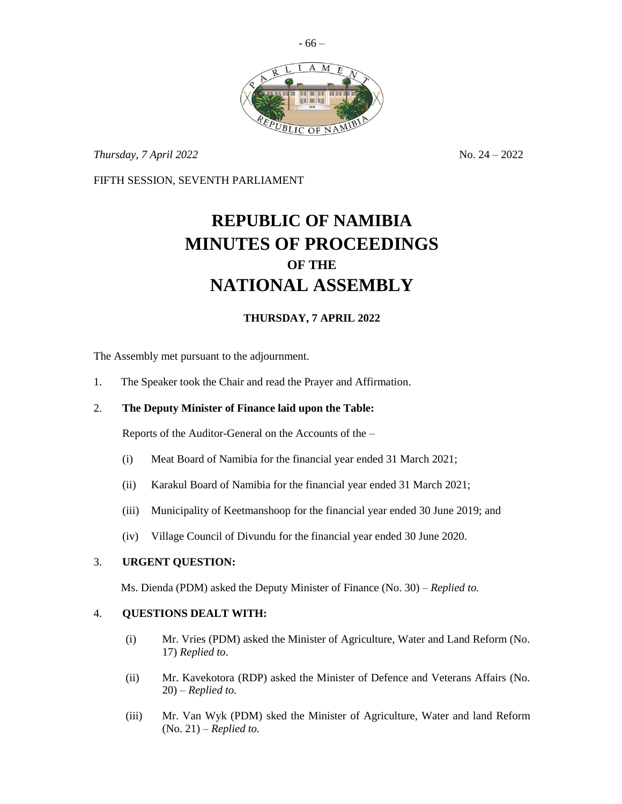

*Thursday, 7 April 2022* No. 24 – 2022

FIFTH SESSION, SEVENTH PARLIAMENT

# **REPUBLIC OF NAMIBIA MINUTES OF PROCEEDINGS OF THE NATIONAL ASSEMBLY**

## **THURSDAY, 7 APRIL 2022**

The Assembly met pursuant to the adjournment.

1. The Speaker took the Chair and read the Prayer and Affirmation.

## 2. **The Deputy Minister of Finance laid upon the Table:**

Reports of the Auditor-General on the Accounts of the –

- (i) Meat Board of Namibia for the financial year ended 31 March 2021;
- (ii) Karakul Board of Namibia for the financial year ended 31 March 2021;
- (iii) Municipality of Keetmanshoop for the financial year ended 30 June 2019; and
- (iv) Village Council of Divundu for the financial year ended 30 June 2020.

### 3. **URGENT QUESTION:**

Ms. Dienda (PDM) asked the Deputy Minister of Finance (No. 30) – *Replied to.*

#### 4. **QUESTIONS DEALT WITH:**

- (i) Mr. Vries (PDM) asked the Minister of Agriculture, Water and Land Reform (No. 17) *Replied to*.
- (ii) Mr. Kavekotora (RDP) asked the Minister of Defence and Veterans Affairs (No. 20) – *Replied to.*
- (iii) Mr. Van Wyk (PDM) sked the Minister of Agriculture, Water and land Reform (No. 21) – *Replied to.*